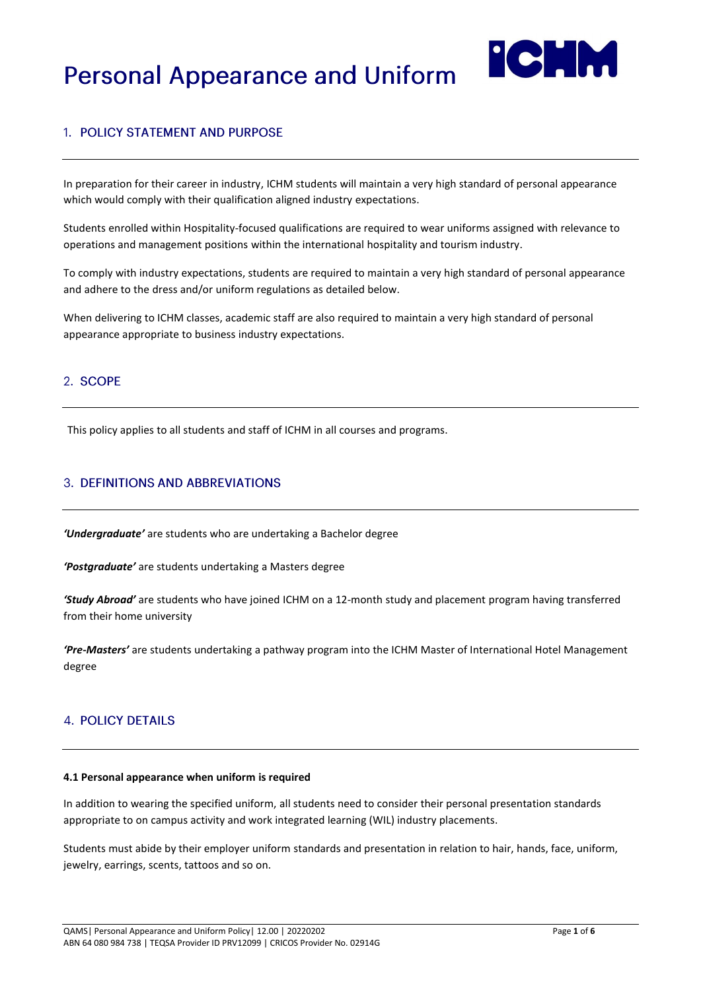# **Personal Appearance and Uniform**



## 1. POLICY STATEMENT AND PURPOSE

In preparation for their career in industry, ICHM students will maintain a very high standard of personal appearance which would comply with their qualification aligned industry expectations.

Students enrolled within Hospitality-focused qualifications are required to wear uniforms assigned with relevance to operations and management positions within the international hospitality and tourism industry.

To comply with industry expectations, students are required to maintain a very high standard of personal appearance and adhere to the dress and/or uniform regulations as detailed below.

When delivering to ICHM classes, academic staff are also required to maintain a very high standard of personal appearance appropriate to business industry expectations.

## 2. SCOPE

This policy applies to all students and staff of ICHM in all courses and programs.

## **3. DEFINITIONS AND ABBREVIATIONS**

*'Undergraduate'* are students who are undertaking a Bachelor degree

*'Postgraduate'* are students undertaking a Masters degree

*'Study Abroad'* are students who have joined ICHM on a 12-month study and placement program having transferred from their home university

*'Pre-Masters'* are students undertaking a pathway program into the ICHM Master of International Hotel Management degree

### **4. POLICY DETAILS**

#### **4.1 Personal appearance when uniform is required**

In addition to wearing the specified uniform, all students need to consider their personal presentation standards appropriate to on campus activity and work integrated learning (WIL) industry placements.

Students must abide by their employer uniform standards and presentation in relation to hair, hands, face, uniform, jewelry, earrings, scents, tattoos and so on.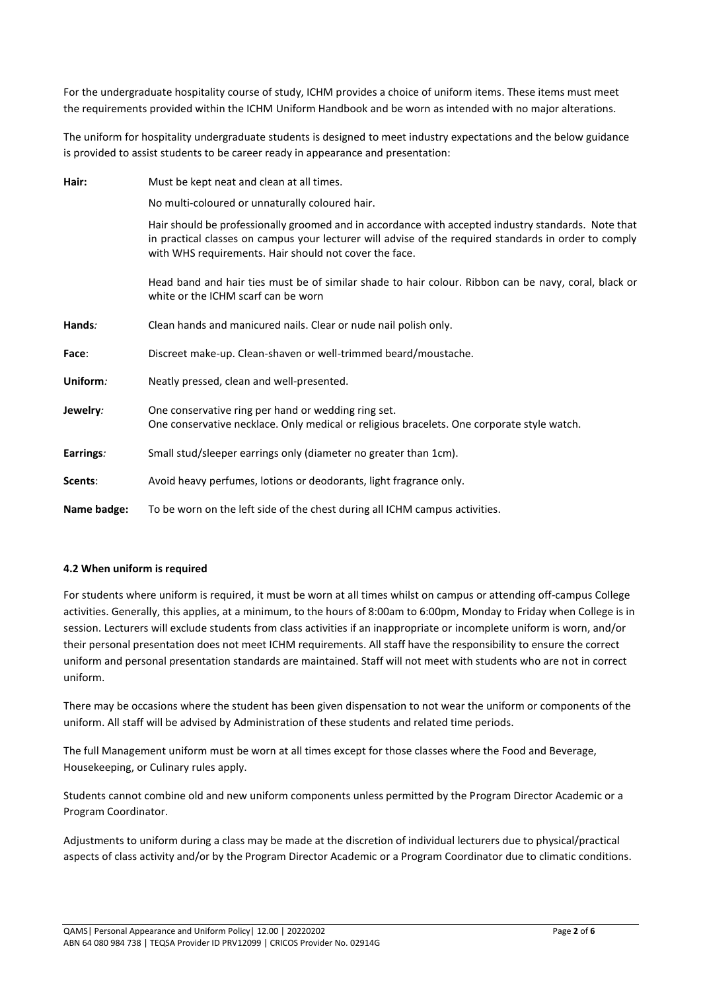For the undergraduate hospitality course of study, ICHM provides a choice of uniform items. These items must meet the requirements provided within the ICHM Uniform Handbook and be worn as intended with no major alterations.

The uniform for hospitality undergraduate students is designed to meet industry expectations and the below guidance is provided to assist students to be career ready in appearance and presentation:

| Hair:          | Must be kept neat and clean at all times.                                                                                                                                                                                                                              |  |  |  |
|----------------|------------------------------------------------------------------------------------------------------------------------------------------------------------------------------------------------------------------------------------------------------------------------|--|--|--|
|                | No multi-coloured or unnaturally coloured hair.                                                                                                                                                                                                                        |  |  |  |
|                | Hair should be professionally groomed and in accordance with accepted industry standards. Note that<br>in practical classes on campus your lecturer will advise of the required standards in order to comply<br>with WHS requirements. Hair should not cover the face. |  |  |  |
|                | Head band and hair ties must be of similar shade to hair colour. Ribbon can be navy, coral, black or<br>white or the ICHM scarf can be worn                                                                                                                            |  |  |  |
| Hands:         | Clean hands and manicured nails. Clear or nude nail polish only.                                                                                                                                                                                                       |  |  |  |
| Face:          | Discreet make-up. Clean-shaven or well-trimmed beard/moustache.                                                                                                                                                                                                        |  |  |  |
| Uniform:       | Neatly pressed, clean and well-presented.                                                                                                                                                                                                                              |  |  |  |
| Jewelry:       | One conservative ring per hand or wedding ring set.<br>One conservative necklace. Only medical or religious bracelets. One corporate style watch.                                                                                                                      |  |  |  |
| Earrings:      | Small stud/sleeper earrings only (diameter no greater than 1cm).                                                                                                                                                                                                       |  |  |  |
| <b>Scents:</b> | Avoid heavy perfumes, lotions or deodorants, light fragrance only.                                                                                                                                                                                                     |  |  |  |
| Name badge:    | To be worn on the left side of the chest during all ICHM campus activities.                                                                                                                                                                                            |  |  |  |

#### **4.2 When uniform is required**

For students where uniform is required, it must be worn at all times whilst on campus or attending off-campus College activities. Generally, this applies, at a minimum, to the hours of 8:00am to 6:00pm, Monday to Friday when College is in session. Lecturers will exclude students from class activities if an inappropriate or incomplete uniform is worn, and/or their personal presentation does not meet ICHM requirements. All staff have the responsibility to ensure the correct uniform and personal presentation standards are maintained. Staff will not meet with students who are not in correct uniform.

There may be occasions where the student has been given dispensation to not wear the uniform or components of the uniform. All staff will be advised by Administration of these students and related time periods.

The full Management uniform must be worn at all times except for those classes where the Food and Beverage, Housekeeping, or Culinary rules apply.

Students cannot combine old and new uniform components unless permitted by the Program Director Academic or a Program Coordinator.

Adjustments to uniform during a class may be made at the discretion of individual lecturers due to physical/practical aspects of class activity and/or by the Program Director Academic or a Program Coordinator due to climatic conditions.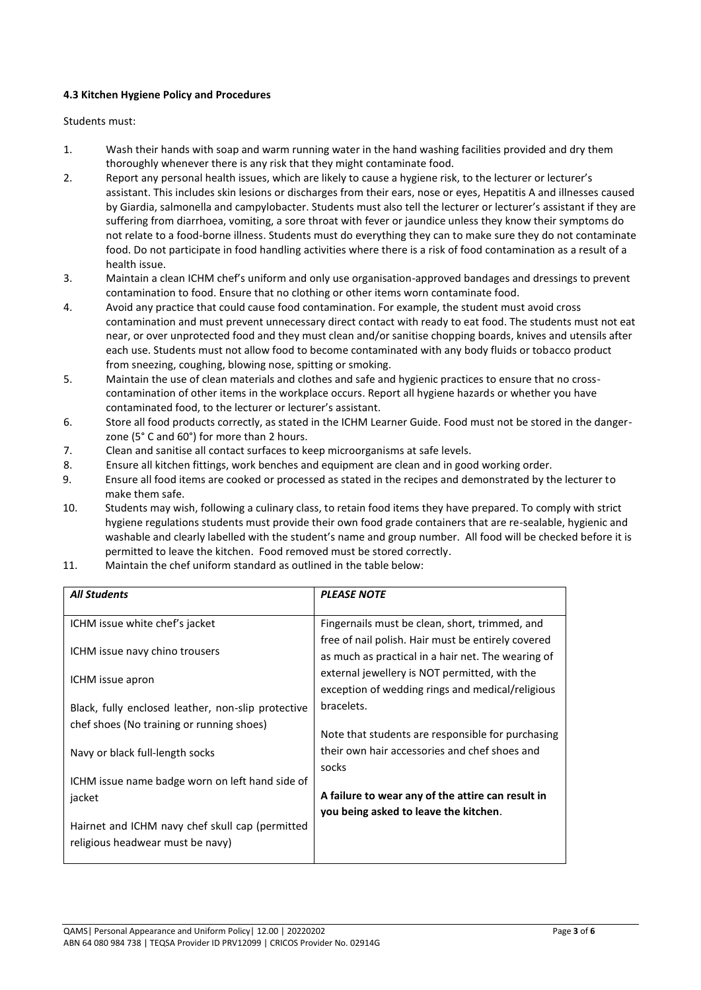#### **4.3 Kitchen Hygiene Policy and Procedures**

Students must:

- 1. Wash their hands with soap and warm running water in the hand washing facilities provided and dry them thoroughly whenever there is any risk that they might contaminate food.
- 2. Report any personal health issues, which are likely to cause a hygiene risk, to the lecturer or lecturer's assistant. This includes skin lesions or discharges from their ears, nose or eyes, Hepatitis A and illnesses caused by Giardia, salmonella and campylobacter. Students must also tell the lecturer or lecturer's assistant if they are suffering from diarrhoea, vomiting, a sore throat with fever or jaundice unless they know their symptoms do not relate to a food-borne illness. Students must do everything they can to make sure they do not contaminate food. Do not participate in food handling activities where there is a risk of food contamination as a result of a health issue.
- 3. Maintain a clean ICHM chef's uniform and only use organisation-approved bandages and dressings to prevent contamination to food. Ensure that no clothing or other items worn contaminate food.
- 4. Avoid any practice that could cause food contamination. For example, the student must avoid cross contamination and must prevent unnecessary direct contact with ready to eat food. The students must not eat near, or over unprotected food and they must clean and/or sanitise chopping boards, knives and utensils after each use. Students must not allow food to become contaminated with any body fluids or tobacco product from sneezing, coughing, blowing nose, spitting or smoking.
- 5. Maintain the use of clean materials and clothes and safe and hygienic practices to ensure that no crosscontamination of other items in the workplace occurs. Report all hygiene hazards or whether you have contaminated food, to the lecturer or lecturer's assistant.
- 6. Store all food products correctly, as stated in the ICHM Learner Guide. Food must not be stored in the dangerzone (5° C and 60°) for more than 2 hours.
- 7. Clean and sanitise all contact surfaces to keep microorganisms at safe levels.
- 8. Ensure all kitchen fittings, work benches and equipment are clean and in good working order.
- 9. Ensure all food items are cooked or processed as stated in the recipes and demonstrated by the lecturer to make them safe.
- 10. Students may wish, following a culinary class, to retain food items they have prepared. To comply with strict hygiene regulations students must provide their own food grade containers that are re-sealable, hygienic and washable and clearly labelled with the student's name and group number. All food will be checked before it is permitted to leave the kitchen. Food removed must be stored correctly.
- 11. Maintain the chef uniform standard as outlined in the table below:

| <b>All Students</b>                                                                                                                              | <b>PLEASE NOTE</b>                                                                                       |  |
|--------------------------------------------------------------------------------------------------------------------------------------------------|----------------------------------------------------------------------------------------------------------|--|
| ICHM issue white chef's jacket                                                                                                                   | Fingernails must be clean, short, trimmed, and                                                           |  |
| ICHM issue navy chino trousers                                                                                                                   | free of nail polish. Hair must be entirely covered<br>as much as practical in a hair net. The wearing of |  |
| ICHM issue apron                                                                                                                                 | external jewellery is NOT permitted, with the<br>exception of wedding rings and medical/religious        |  |
| Black, fully enclosed leather, non-slip protective                                                                                               | bracelets.                                                                                               |  |
| chef shoes (No training or running shoes)                                                                                                        | Note that students are responsible for purchasing                                                        |  |
| Navy or black full-length socks                                                                                                                  | their own hair accessories and chef shoes and                                                            |  |
| ICHM issue name badge worn on left hand side of<br>jacket<br>Hairnet and ICHM navy chef skull cap (permitted<br>religious headwear must be navy) | socks<br>A failure to wear any of the attire can result in<br>you being asked to leave the kitchen.      |  |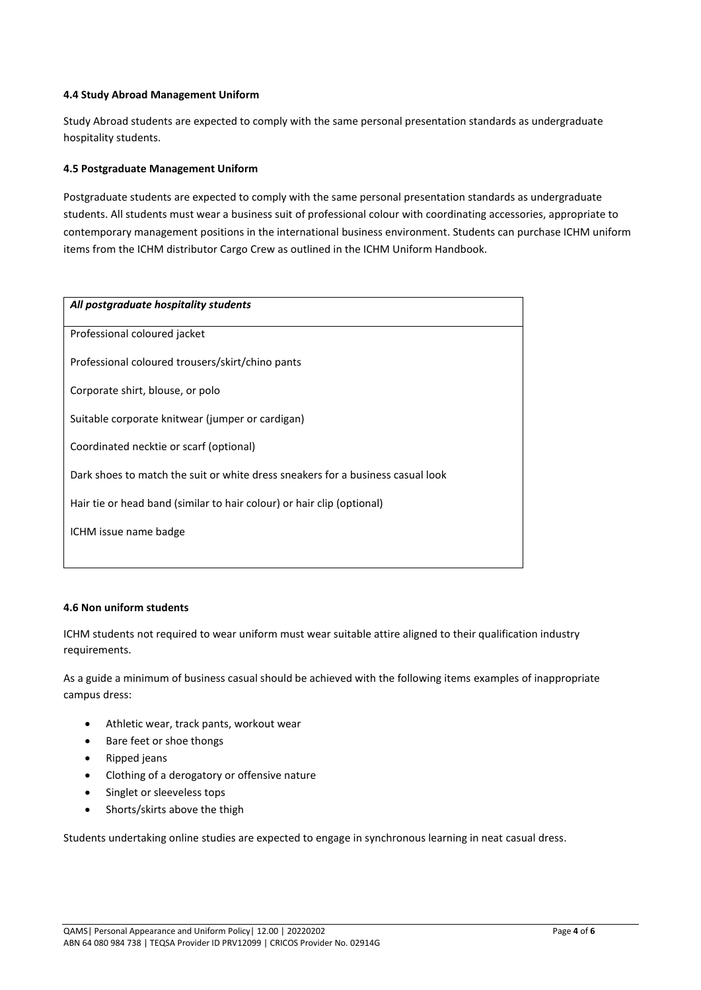#### **4.4 Study Abroad Management Uniform**

Study Abroad students are expected to comply with the same personal presentation standards as undergraduate hospitality students.

#### **4.5 Postgraduate Management Uniform**

Postgraduate students are expected to comply with the same personal presentation standards as undergraduate students. All students must wear a business suit of professional colour with coordinating accessories, appropriate to contemporary management positions in the international business environment. Students can purchase ICHM uniform items from the ICHM distributor Cargo Crew as outlined in the ICHM Uniform Handbook.

| All postgraduate hospitality students                                           |  |  |  |  |
|---------------------------------------------------------------------------------|--|--|--|--|
| Professional coloured jacket                                                    |  |  |  |  |
| Professional coloured trousers/skirt/chino pants                                |  |  |  |  |
| Corporate shirt, blouse, or polo                                                |  |  |  |  |
| Suitable corporate knitwear (jumper or cardigan)                                |  |  |  |  |
| Coordinated necktie or scarf (optional)                                         |  |  |  |  |
| Dark shoes to match the suit or white dress sneakers for a business casual look |  |  |  |  |
| Hair tie or head band (similar to hair colour) or hair clip (optional)          |  |  |  |  |
| ICHM issue name badge                                                           |  |  |  |  |
|                                                                                 |  |  |  |  |

#### **4.6 Non uniform students**

ICHM students not required to wear uniform must wear suitable attire aligned to their qualification industry requirements.

As a guide a minimum of business casual should be achieved with the following items examples of inappropriate campus dress:

- Athletic wear, track pants, workout wear
- Bare feet or shoe thongs
- Ripped jeans
- Clothing of a derogatory or offensive nature
- Singlet or sleeveless tops
- Shorts/skirts above the thigh

Students undertaking online studies are expected to engage in synchronous learning in neat casual dress.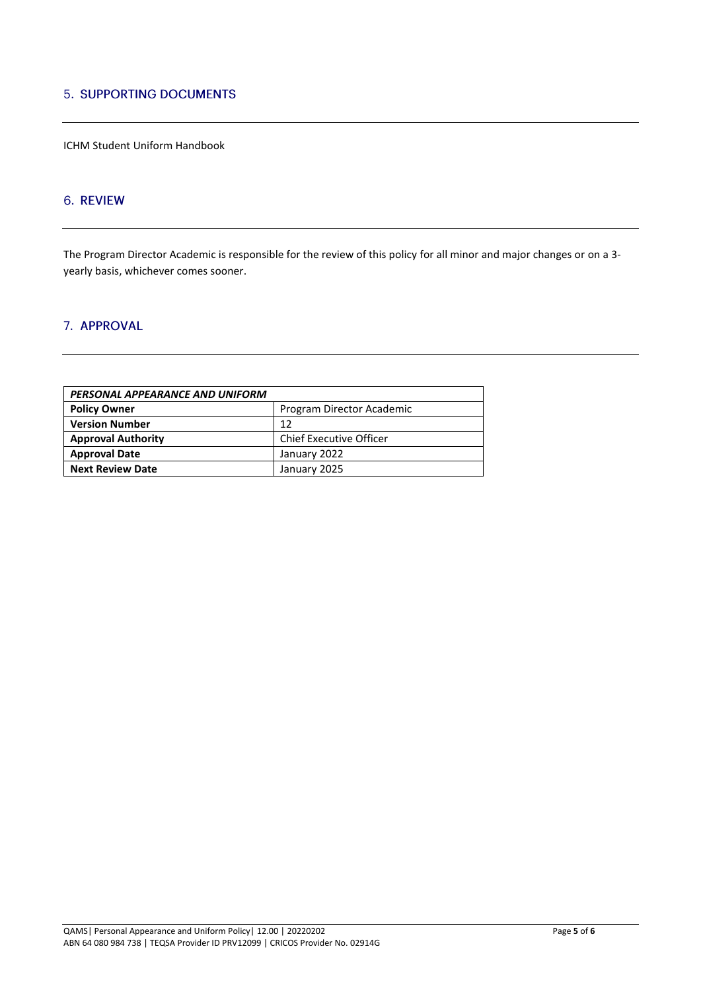## **5. SUPPORTING DOCUMENTS**

ICHM Student Uniform Handbook

## 6. REVIEW

The Program Director Academic is responsible for the review of this policy for all minor and major changes or on a 3 yearly basis, whichever comes sooner.

### 7. APPROVAL

| PERSONAL APPEARANCE AND UNIFORM |                                |  |  |  |
|---------------------------------|--------------------------------|--|--|--|
| <b>Policy Owner</b>             | Program Director Academic      |  |  |  |
| <b>Version Number</b>           | 12                             |  |  |  |
| <b>Approval Authority</b>       | <b>Chief Executive Officer</b> |  |  |  |
| <b>Approval Date</b>            | January 2022                   |  |  |  |
| <b>Next Review Date</b>         | January 2025                   |  |  |  |